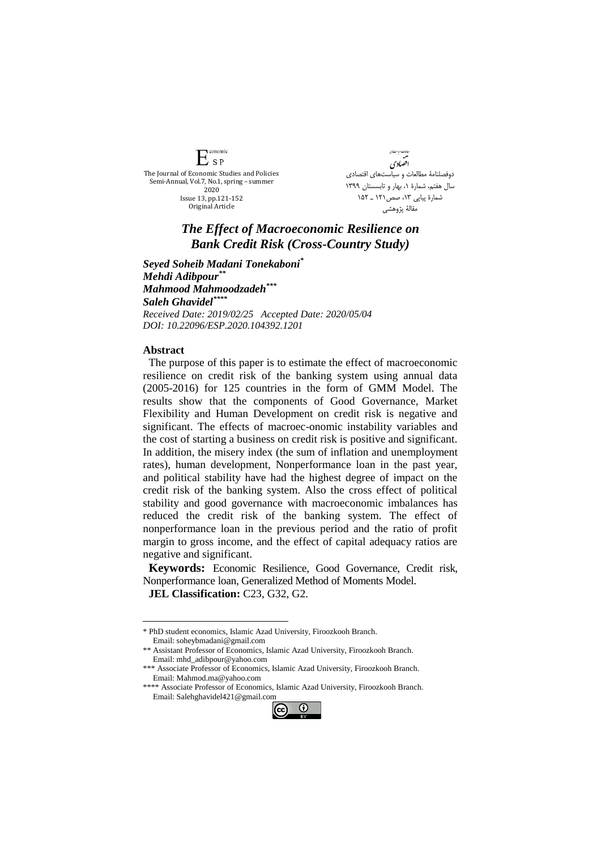**Conomic**  $E_{SP}$ The Journal of Economic Studies and Policies Semi-Annual, Vol.7, No.1, spring – summer 2020 Issue 13, pp.121-152 Original Article

دامات و باست*!ن* افضادي دوفصلنامۀ مطالعات و سیاستهای اقتصادی سال هفتم، شمارة ،1 بهار و تابسستان 1399 شمارة پیاپي ،13 صص121 ـ 152 مقالۀ پژوهشي

## *The Effect of Macroeconomic Resilience on Bank Credit Risk (Cross-Country Study)*

*Seyed Soheib Madani Tonekaboni\* Mehdi Adibpour\*\* Mahmood Mahmoodzadeh\*\*\* Saleh Ghavidel\*\*\*\* Received Date: 2019/02/25 Accepted Date: 2020/05/04 DOI: 10.22096/ESP.2020.104392.1201*

## **Abstract**

<u>.</u>

The purpose of this paper is to estimate the effect of macroeconomic resilience on credit risk of the banking system using annual data (2005-2016) for 125 countries in the form of GMM Model. The results show that the components of Good Governance, Market Flexibility and Human Development on credit risk is negative and significant. The effects of macroec-onomic instability variables and the cost of starting a business on credit risk is positive and significant. In addition, the misery index (the sum of inflation and unemployment rates), human development, Nonperformance loan in the past year, and political stability have had the highest degree of impact on the credit risk of the banking system. Also the cross effect of political stability and good governance with macroeconomic imbalances has reduced the credit risk of the banking system. The effect of nonperformance loan in the previous period and the ratio of profit margin to gross income, and the effect of capital adequacy ratios are negative and significant.

**Keywords:** Economic Resilience, Good Governance, Credit risk, Nonperformance loan, Generalized Method of Moments Model. **JEL Classification:** C23, G32, G2.

<sup>\*\*\*\*</sup> Associate Professor of Economics, Islamic Azad University, Firoozkooh Branch. Email: Salehghavidel421@gmail.com



<sup>\*</sup> PhD student economics, Islamic Azad University, Firoozkooh Branch. Email: soheybmadani@gmail.com

<sup>\*\*</sup> Assistant Professor of Economics, Islamic Azad University, Firoozkooh Branch. Email: mhd\_adibpour@yahoo.com

<sup>\*\*\*</sup> Associate Professor of Economics, Islamic Azad University, Firoozkooh Branch. Email: Mahmod.ma@yahoo.com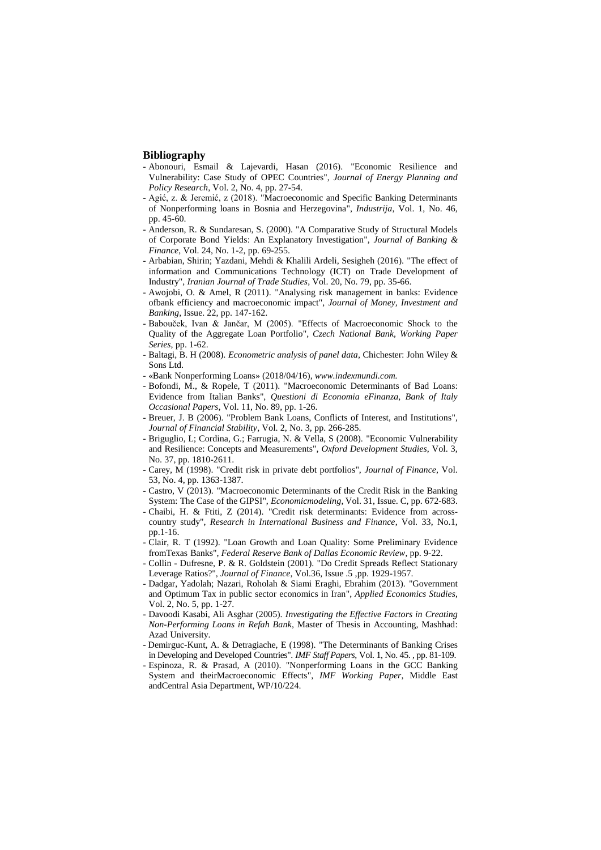## **Bibliography**

- Abonouri, Esmail & Lajevardi, Hasan (2016). "Economic Resilience and Vulnerability: Case Study of OPEC Countries", *Journal of Energy Planning and Policy Research*, Vol. 2, No. 4, pp. 27-54.
- Agić, z. & Jeremić, z (2018). "Macroeconomic and Specific Banking Determinants of Nonperforming loans in Bosnia and Herzegovina", *Industrija*, Vol. 1, No. 46, pp. 45-60.
- Anderson, R. & Sundaresan, S. (2000). "A Comparative Study of Structural Models of Corporate Bond Yields: An Explanatory Investigation", *Journal of Banking & Finance*, Vol. 24, No. 1-2, pp. 69-255.
- Arbabian, Shirin; Yazdani, Mehdi & Khalili Ardeli, Sesigheh (2016). "The effect of information and Communications Technology (ICT) on Trade Development of Industry", *Iranian Journal of Trade Studies*, Vol. 20, No. 79, pp. 35-66.
- Awojobi, O. & Amel, R (2011). "Analysing risk management in banks: Evidence ofbank efficiency and macroeconomic impact", *Journal of Money, Investment and Banking*, Issue. 22, pp. 147-162.
- Babouček, Ivan & Jančar, M (2005). "Effects of Macroeconomic Shock to the Quality of the Aggregate Loan Portfolio", *Czech National Bank, Working Paper Series*, pp. 1-62.
- Baltagi, B. H (2008). *Econometric analysis of panel data*, Chichester: John Wiley & Sons Ltd.
- «Bank Nonperforming Loans» (2018/04/16), *www.indexmundi.com.*
- Bofondi, M., & Ropele, T (2011). "Macroeconomic Determinants of Bad Loans: Evidence from Italian Banks", *Questioni di Economia eFinanza, Bank of Italy Occasional Papers*, Vol. 11, No. 89, pp. 1-26.
- Breuer, J. B (2006). "Problem Bank Loans, Conflicts of Interest, and Institutions", *Journal of Financial Stability*, Vol. 2, No. 3, pp. 266-285.
- Briguglio, L; Cordina, G.; Farrugia, N. & Vella, S (2008). "Economic Vulnerability and Resilience: Concepts and Measurements", *Oxford Development Studies*, Vol. 3, No. 37, pp. 1810-2611.
- Carey, M (1998). "Credit risk in private debt portfolios", *Journal of Finance*, Vol. 53, No. 4, pp. 1363-1387.
- Castro, V (2013). "Macroeconomic Determinants of the Credit Risk in the Banking System: The Case of the GIPSI", *Economicmodeling*, Vol. 31, Issue. C, pp. 672-683.
- Chaibi, H. & Ftiti, Z (2014). "Credit risk determinants: Evidence from acrosscountry study", *Research in International Business and Finance*, Vol. 33, No.1, pp.1-16.
- Clair, R. T (1992). "Loan Growth and Loan Quality: Some Preliminary Evidence fromTexas Banks", *Federal Reserve Bank of Dallas Economic Review*, pp. 9-22.
- Collin Dufresne, P. & R. Goldstein (2001). "Do Credit Spreads Reflect Stationary Leverage Ratios?", *Journal of Finance*, Vol.36, Issue .5 ,pp. 1929-1957.
- Dadgar, Yadolah; Nazari, Roholah & Siami Eraghi, Ebrahim (2013). "Government and Optimum Tax in public sector economics in Iran", *Applied Economics Studies*, Vol. 2, No. 5, pp. 1-27.
- Davoodi Kasabi, Ali Asghar (2005). *Investigating the Effective Factors in Creating Non-Performing Loans in Refah Bank*, Master of Thesis in Accounting, Mashhad: Azad University.
- Demirguc-Kunt, A. & Detragiache, E (1998). "The Determinants of Banking Crises in Developing and Developed Countries". *IMF Staff Papers*, Vol. 1, No. 45. , pp. 81-109.
- Espinoza, R. & Prasad, A (2010). "Nonperforming Loans in the GCC Banking System and theirMacroeconomic Effects", *IMF Working Paper*, Middle East andCentral Asia Department, WP/10/224.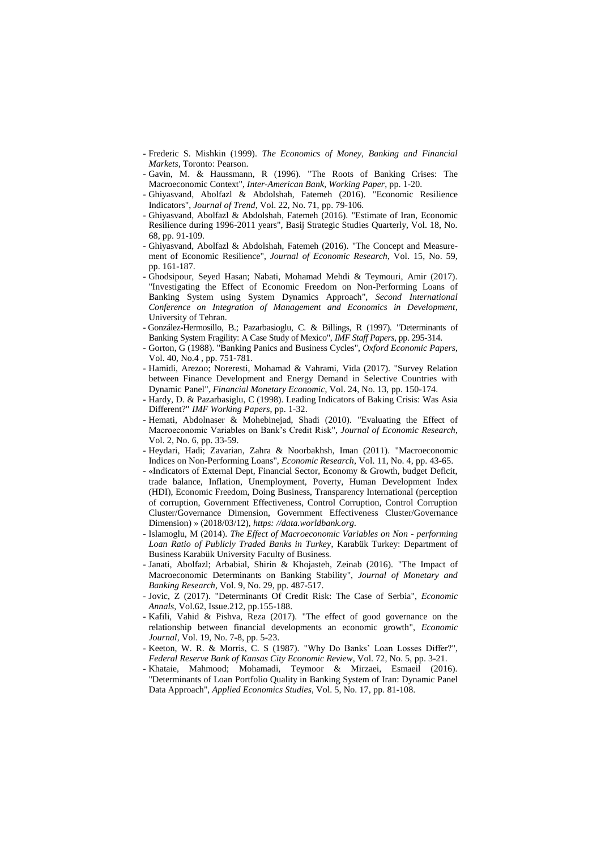- Frederic S. Mishkin (1999). *The Economics of Money, Banking and Financial Markets*, Toronto: Pearson.
- Gavin, M. & Haussmann, R (1996). "The Roots of Banking Crises: The Macroeconomic Context", *Inter-American Bank, Working Paper*, pp. 1-20.
- Ghiyasvand, Abolfazl & Abdolshah, Fatemeh (2016). "Economic Resilience Indicators", *Journal of Trend*, Vol. 22, No. 71, pp. 79-106.
- Ghiyasvand, Abolfazl & Abdolshah, Fatemeh (2016). "Estimate of Iran, Economic Resilience during 1996-2011 years", Basij Strategic Studies Quarterly, Vol. 18, No. 68, pp. 91-109.
- Ghiyasvand, Abolfazl & Abdolshah, Fatemeh (2016). "The Concept and Measurement of Economic Resilience", *Journal of Economic Research*, Vol. 15, No. 59, pp. 161-187.
- Ghodsipour, Seyed Hasan; Nabati, Mohamad Mehdi & Teymouri, Amir (2017). "Investigating the Effect of Economic Freedom on Non-Performing Loans of Banking System using System Dynamics Approach", *Second International Conference on Integration of Management and Economics in Development*, University of Tehran.
- González-Hermosillo, B.; Pazarbasioglu, C. & Billings, R (1997). "Determinants of Banking System Fragility: A Case Study of Mexico", *IMF Staff Papers*, pp. 295-314.
- Gorton, G (1988). "Banking Panics and Business Cycles", *Oxford Economic Papers*, Vol. 40, No.4 , pp. 751-781.
- Hamidi, Arezoo; Noreresti, Mohamad & Vahrami, Vida (2017). "Survey Relation between Finance Development and Energy Demand in Selective Countries with Dynamic Panel", *Financial Monetary Economic*, Vol. 24, No. 13, pp. 150-174.
- Hardy, D. & Pazarbasiglu, C (1998). Leading Indicators of Baking Crisis: Was Asia Different?" *IMF Working Papers*, pp. 1-32.
- Hemati, Abdolnaser & Mohebinejad, Shadi (2010). "Evaluating the Effect of Macroeconomic Variables on Bank's Credit Risk", *Journal of Economic Research*, Vol. 2, No. 6, pp. 33-59.
- Heydari, Hadi; Zavarian, Zahra & Noorbakhsh, Iman (2011). "Macroeconomic Indices on Non-Performing Loans", *Economic Research*, Vol. 11, No. 4, pp. 43-65.
- «Indicators of External Dept, Financial Sector, Economy & Growth, budget Deficit, trade balance, Inflation, Unemployment, Poverty, Human Development Index (HDI), Economic Freedom, Doing Business, Transparency International (perception of corruption, Government Effectiveness, Control Corruption, Control Corruption Cluster/Governance Dimension, Government Effectiveness Cluster/Governance Dimension) » (2018/03/12), *https: //data.worldbank.org.*
- Islamoglu, M (2014). *The Effect of Macroeconomic Variables on Non - performing Loan Ratio of Publicly Traded Banks in Turkey*, Karabük Turkey: Department of Business Karabük University Faculty of Business.
- Janati, Abolfazl; Arbabial, Shirin & Khojasteh, Zeinab (2016). "The Impact of Macroeconomic Determinants on Banking Stability", *Journal of Monetary and Banking Research*, Vol. 9, No. 29, pp. 487-517.
- Jovic, Z (2017). "Determinants Of Credit Risk: The Case of Serbia", *Economic Annals*, Vol.62, Issue.212, pp.155-188.
- Kafili, Vahid & Pishva, Reza (2017). "The effect of good governance on the relationship between financial developments an economic growth", *Economic Journal*, Vol. 19, No. 7-8, pp. 5-23.
- Keeton, W. R. & Morris, C. S (1987). "Why Do Banks' Loan Losses Differ?", *Federal Reserve Bank of Kansas City Economic Review*, Vol. 72, No. 5, pp. 3-21.
- Khataie, Mahmood; Mohamadi, Teymoor & Mirzaei, Esmaeil (2016). "Determinants of Loan Portfolio Quality in Banking System of Iran: Dynamic Panel Data Approach", *Applied Economics Studies*, Vol. 5, No. 17, pp. 81-108.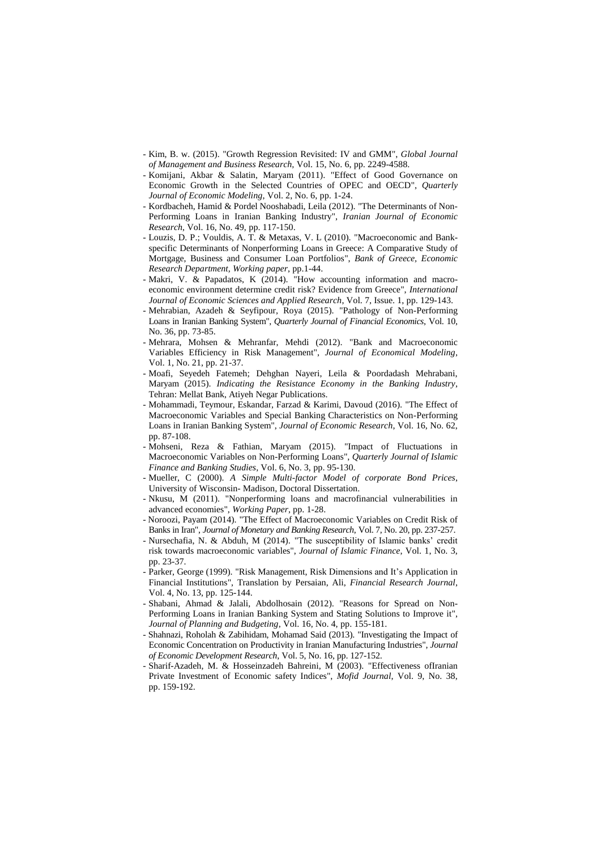- Kim, B. w. (2015). "Growth Regression Revisited: IV and GMM", *Global Journal of Management and Business Research,* Vol. 15, No. 6, pp. 2249-4588.
- Komijani, Akbar & Salatin, Maryam (2011). "Effect of Good Governance on Economic Growth in the Selected Countries of OPEC and OECD", *Quarterly Journal of Economic Modeling*, Vol. 2, No. 6, pp. 1-24.
- Kordbacheh, Hamid & Pordel Nooshabadi, Leila (2012). "The Determinants of Non-Performing Loans in Iranian Banking Industry", *Iranian Journal of Economic Research*, Vol. 16, No. 49, pp. 117-150.
- Louzis, D. P.; Vouldis, A. T. & Metaxas, V. L (2010). "Macroeconomic and Bankspecific Determinants of Nonperforming Loans in Greece: A Comparative Study of Mortgage, Business and Consumer Loan Portfolios", *Bank of Greece, Economic Research Department, Working paper*, pp.1-44.
- Makri, V. & Papadatos, K (2014). "How accounting information and macroeconomic environment determine credit risk? Evidence from Greece", *International Journal of Economic Sciences and Applied Research*, Vol. 7, Issue. 1, pp. 129-143.
- Mehrabian, Azadeh & Seyfipour, Roya (2015). "Pathology of Non-Performing Loans in Iranian Banking System", *Quarterly Journal of Financial Economics*, Vol. 10, No. 36, pp. 73-85.
- Mehrara, Mohsen & Mehranfar, Mehdi (2012). "Bank and Macroeconomic Variables Efficiency in Risk Management", *Journal of Economical Modeling*, Vol. 1, No. 21, pp. 21-37.
- Moafi, Seyedeh Fatemeh; Dehghan Nayeri, Leila & Poordadash Mehrabani, Maryam (2015). *Indicating the Resistance Economy in the Banking Industry*, Tehran: Mellat Bank, Atiyeh Negar Publications.
- Mohammadi, Teymour, Eskandar, Farzad & Karimi, Davoud (2016). "The Effect of Macroeconomic Variables and Special Banking Characteristics on Non-Performing Loans in Iranian Banking System", *Journal of Economic Research*, Vol. 16, No. 62, pp. 87-108.
- Mohseni, Reza & Fathian, Maryam (2015). "Impact of Fluctuations in Macroeconomic Variables on Non-Performing Loans", *Quarterly Journal of Islamic Finance and Banking Studies*, Vol. 6, No. 3, pp. 95-130.
- Mueller, C (2000). *A Simple Multi-factor Model of corporate Bond Prices*, University of Wisconsin- Madison, Doctoral Dissertation.
- Nkusu, M (2011). "Nonperforming loans and macrofinancial vulnerabilities in advanced economies", *Working Paper*, pp. 1-28.
- Noroozi, Payam (2014). "The Effect of Macroeconomic Variables on Credit Risk of Banks in Iran", *Journal of Monetary and Banking Research*, Vol. 7, No. 20, pp. 237-257.
- Nursechafia, N. & Abduh, M (2014). "The susceptibility of Islamic banks' credit risk towards macroeconomic variables", *Journal of Islamic Finance*, Vol. 1, No. 3, pp. 23-37.
- Parker, George (1999). "Risk Management, Risk Dimensions and It's Application in Financial Institutions", Translation by Persaian, Ali, *Financial Research Journal*, Vol. 4, No. 13, pp. 125-144.
- Shabani, Ahmad & Jalali, Abdolhosain (2012). "Reasons for Spread on Non-Performing Loans in Iranian Banking System and Stating Solutions to Improve it", *Journal of Planning and Budgeting*, Vol. 16, No. 4, pp. 155-181.
- Shahnazi, Roholah & Zabihidam, Mohamad Said (2013). "Investigating the Impact of Economic Concentration on Productivity in Iranian Manufacturing Industries", *Journal of Economic Development Research*, Vol. 5, No. 16, pp. 127-152.
- Sharif-Azadeh, M. & Hosseinzadeh Bahreini, M (2003). "Effectiveness ofIranian Private Investment of Economic safety Indices", *Mofid Journal*, Vol. 9, No. 38, pp. 159-192.